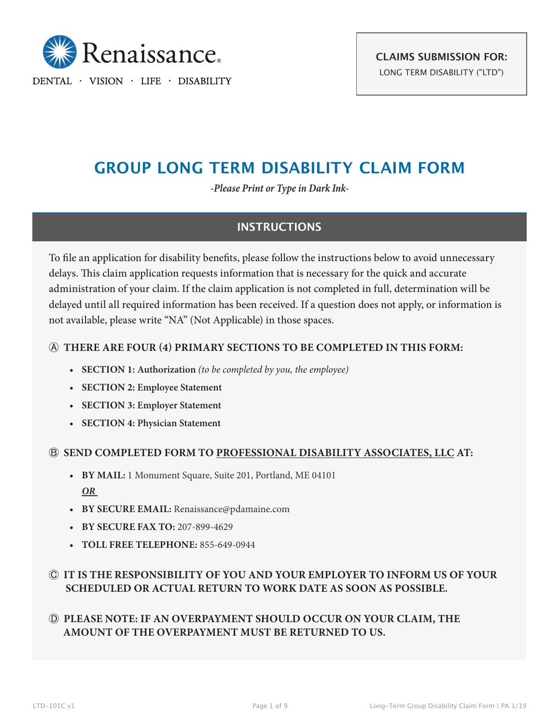

DENTAL · VISION · LIFE · DISABILITY

# **GROUP LONG TERM DISABILITY CLAIM FORM**

*-Please Print or Type in Dark Ink-*

## **INSTRUCTIONS**

To file an application for disability benefits, please follow the instructions below to avoid unnecessary delays. This claim application requests information that is necessary for the quick and accurate administration of your claim. If the claim application is not completed in full, determination will be delayed until all required information has been received. If a question does not apply, or information is not available, please write "NA" (Not Applicable) in those spaces.

## Ⓐ **THERE ARE FOUR (4) PRIMARY SECTIONS TO BE COMPLETED IN THIS FORM:**

- **• SECTION 1: Authorization** *(to be completed by you, the employee)*
- **• SECTION 2: Employee Statement**
- **• SECTION 3: Employer Statement**
- **• SECTION 4: Physician Statement**

### Ⓑ **SEND COMPLETED FORM TO PROFESSIONAL DISABILITY ASSOCIATES, LLC AT:**

- **• BY MAIL:** 1 Monument Square, Suite 201, Portland, ME 04101 *OR*
- **• BY SECURE EMAIL:** Renaissance@pdamaine.com
- **• BY SECURE FAX TO:** 207-899-4629
- **• TOLL FREE TELEPHONE:** 855-649-0944

## Ⓒ **IT IS THE RESPONSIBILITY OF YOU AND YOUR EMPLOYER TO INFORM US OF YOUR SCHEDULED OR ACTUAL RETURN TO WORK DATE AS SOON AS POSSIBLE.**

## Ⓓ **PLEASE NOTE: IF AN OVERPAYMENT SHOULD OCCUR ON YOUR CLAIM, THE AMOUNT OF THE OVERPAYMENT MUST BE RETURNED TO US.**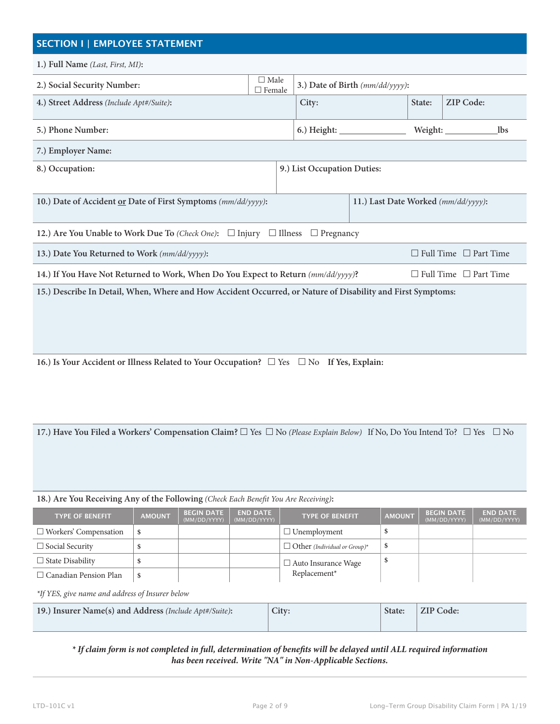## **SECTION I | EMPLOYEE STATEMENT 1.) Full Name** *(Last, First, MI)***: 2.) Social Security Number:**  $\Box$  Male  $\Box$  Female 3.) Date of Birth  $(mm/dd/yyyy)$ : **4.) Street Address** *(Include Apt#/Suite)***: City: State: ZIP Code: 5.) Phone Number: 6.) Height: Weight: lbs**

**7.) Employer Name:**

**8.) Occupation: 9.) List Occupation Duties:**

| 10.) Date of Accident or Date of First Symptoms (nm/dd/yyyy): | 11.) Last Date Worked (mm/dd/yyyy): |
|---------------------------------------------------------------|-------------------------------------|
|                                                               |                                     |

**12.)** Are You Unable to Work Due To *(Check One)*:  $\Box$  Injury  $\Box$  Illness  $\Box$  Pregnancy

| 13.) Date You Returned to Work (mm/dd/yyyy):                                                                | $\Box$ Full Time $\Box$ Part Time |  |  |  |
|-------------------------------------------------------------------------------------------------------------|-----------------------------------|--|--|--|
| 14.) If You Have Not Returned to Work, When Do You Expect to Return $(mm/dd/yyyy)$ ?                        | $\Box$ Full Time $\Box$ Part Time |  |  |  |
| 15.) Describe In Detail, When, Where and How Accident Occurred, or Nature of Disability and First Symptoms: |                                   |  |  |  |

**16.) Is Your Accident or Illness Related to Your Occupation?**  $\Box$  Yes  $\Box$  No If Yes, Explain:

**17.) Have You Filed a Workers' Compensation Claim?** □ Yes □ No (Please Explain Below) If No, Do You Intend To? □ Yes □ No

#### **18.) Are You Receiving Any of the Following** *(Check Each Benefit You Are Receiving)***:**

| <b>TYPE OF BENEFIT</b>       | <b>AMOUNT</b> | <b>BEGIN DATE</b><br>(MM/DD/YYYY) | <b>END DATE</b><br>(MM/DD/YYYY) | <b>TYPE OF BENEFIT.</b>             | <b>AMOUNT</b> | <b>BEGIN DATE</b><br>(MM/DD/YYYY) | <b>END DATE</b><br>(MM/DD/YYYY) |
|------------------------------|---------------|-----------------------------------|---------------------------------|-------------------------------------|---------------|-----------------------------------|---------------------------------|
| $\Box$ Workers' Compensation |               |                                   |                                 | $\Box$ Unemployment                 |               |                                   |                                 |
| $\Box$ Social Security       |               |                                   |                                 | $\Box$ Other (Individual or Group)* |               |                                   |                                 |
| $\Box$ State Disability      |               |                                   |                                 | $\Box$ Auto Insurance Wage          |               |                                   |                                 |
| $\Box$ Canadian Pension Plan |               |                                   |                                 | Replacement*                        |               |                                   |                                 |

*\*If YES, give name and address of Insurer below*

| 19.) Insurer Name(s) and Address (Include Apt#/Suite): | City: | State: | ZIP Code: |
|--------------------------------------------------------|-------|--------|-----------|
|                                                        |       |        |           |

*\* If claim form is not completed in full, determination of benefits will be delayed until ALL required information has been received. Write "NA" in Non-Applicable Sections.*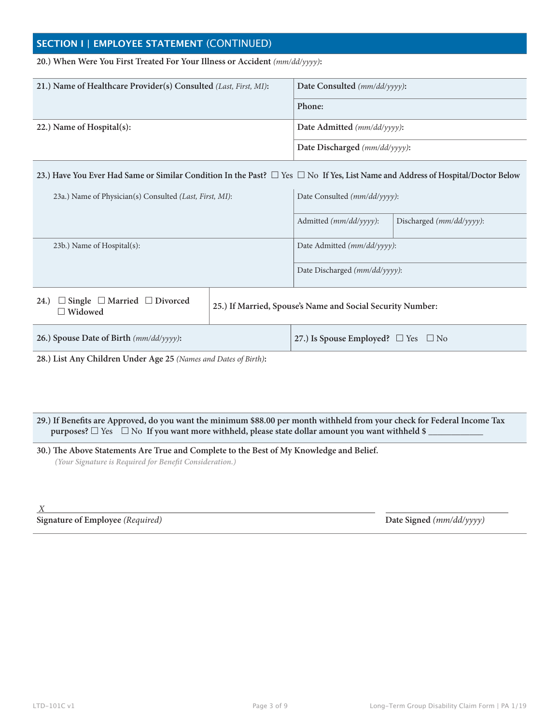## **SECTION I | EMPLOYEE STATEMENT** (CONTINUED)

#### **20.) When Were You First Treated For Your Illness or Accident** *(mm/dd/yyyy)***:**

| 21.) Name of Healthcare Provider(s) Consulted (Last, First, MI): | Date Consulted $(mm/dd/yyyy)$ : |  |
|------------------------------------------------------------------|---------------------------------|--|
|                                                                  | Phone:                          |  |
| 22.) Name of Hospital(s):                                        | Date Admitted (mm/dd/yyyy):     |  |
|                                                                  | Date Discharged (mm/dd/yyyy):   |  |

#### **23.) Have You Ever Had Same or Similar Condition In the Past?**  $\Box$  Yes  $\Box$  No If Yes, List Name and Address of Hospital/Doctor Below

| 23a.) Name of Physician(s) Consulted (Last, First, MI):                |  | Date Consulted (mm/dd/yyyy):                               |                                              |  |  |
|------------------------------------------------------------------------|--|------------------------------------------------------------|----------------------------------------------|--|--|
|                                                                        |  | Admitted (mm/dd/yyyy):                                     | Discharged $(mm/dd/ \gamma \gamma \gamma)$ : |  |  |
| 23b.) Name of Hospital(s):                                             |  | Date Admitted (mm/dd/yyyy):                                |                                              |  |  |
|                                                                        |  | Date Discharged $(mm/dd/yyyy)$ :                           |                                              |  |  |
| $\Box$ Single $\Box$ Married $\Box$ Divorced<br>24.)<br>$\Box$ Widowed |  | 25.) If Married, Spouse's Name and Social Security Number: |                                              |  |  |
| 26.) Spouse Date of Birth (mm/dd/yyyy):                                |  | 27.) Is Spouse Employed? $\Box$ Yes $\Box$ No              |                                              |  |  |

**28.) List Any Children Under Age 25** *(Names and Dates of Birth)***:**

**29.) If Benefits are Approved, do you want the minimum \$88.00 per month withheld from your check for Federal Income Tax purposes?**  $\Box$  Yes  $\Box$  No If you want more withheld, please state dollar amount you want withheld \$

**30.) The Above Statements Are True and Complete to the Best of My Knowledge and Belief.** *(Your Signature is Required for Benefit Consideration.)*

 *X* 

#### **Signature of Employee** *(Required)* **Date Signed** *(mm/dd/yyyy)*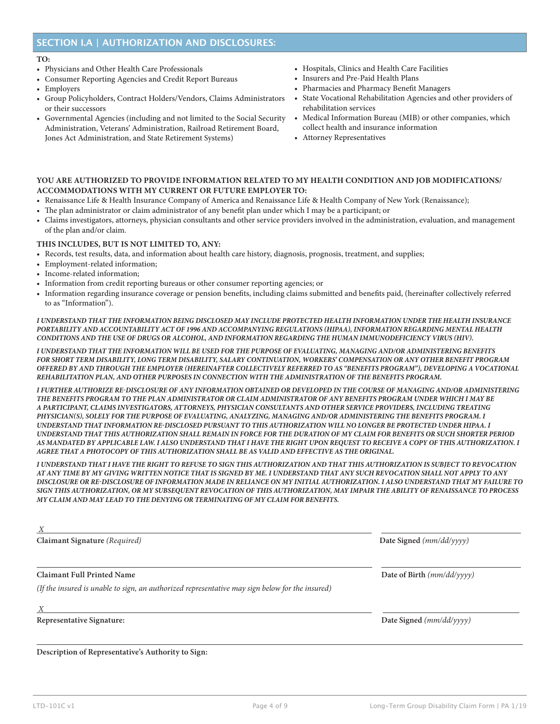## **SECTION I.A | AUTHORIZATION AND DISCLOSURES:**

#### **TO:**

- Physicians and Other Health Care Professionals
- Consumer Reporting Agencies and Credit Report Bureaus
- Employers
- Group Policyholders, Contract Holders/Vendors, Claims Administrators or their successors
- Governmental Agencies (including and not limited to the Social Security Administration, Veterans' Administration, Railroad Retirement Board, Jones Act Administration, and State Retirement Systems)
- Hospitals, Clinics and Health Care Facilities
- Insurers and Pre-Paid Health Plans
- Pharmacies and Pharmacy Benefit Managers
- State Vocational Rehabilitation Agencies and other providers of rehabilitation services
- Medical Information Bureau (MIB) or other companies, which collect health and insurance information
- Attorney Representatives

#### **YOU ARE AUTHORIZED TO PROVIDE INFORMATION RELATED TO MY HEALTH CONDITION AND JOB MODIFICATIONS/ ACCOMMODATIONS WITH MY CURRENT OR FUTURE EMPLOYER TO:**

- Renaissance Life & Health Insurance Company of America and Renaissance Life & Health Company of New York (Renaissance);
- The plan administrator or claim administrator of any benefit plan under which I may be a participant; or
- Claims investigators, attorneys, physician consultants and other service providers involved in the administration, evaluation, and management of the plan and/or claim.

#### **THIS INCLUDES, BUT IS NOT LIMITED TO, ANY:**

- Records, test results, data, and information about health care history, diagnosis, prognosis, treatment, and supplies;
- Employment-related information;
- Income-related information;
- Information from credit reporting bureaus or other consumer reporting agencies; or
- Information regarding insurance coverage or pension benefits, including claims submitted and benefits paid, (hereinafter collectively referred to as "Information").

*I UNDERSTAND THAT THE INFORMATION BEING DISCLOSED MAY INCLUDE PROTECTED HEALTH INFORMATION UNDER THE HEALTH INSURANCE PORTABILITY AND ACCOUNTABILITY ACT OF 1996 AND ACCOMPANYING REGULATIONS (HIPAA), INFORMATION REGARDING MENTAL HEALTH CONDITIONS AND THE USE OF DRUGS OR ALCOHOL, AND INFORMATION REGARDING THE HUMAN IMMUNODEFICIENCY VIRUS (HIV).* 

*I UNDERSTAND THAT THE INFORMATION WILL BE USED FOR THE PURPOSE OF EVALUATING, MANAGING AND/OR ADMINISTERING BENEFITS FOR SHORT TERM DISABILITY, LONG TERM DISABILITY, SALARY CONTINUATION, WORKERS' COMPENSATION OR ANY OTHER BENEFIT PROGRAM OFFERED BY AND THROUGH THE EMPLOYER (HEREINAFTER COLLECTIVELY REFERRED TO AS "BENEFITS PROGRAM"), DEVELOPING A VOCATIONAL REHABILITATION PLAN, AND OTHER PURPOSES IN CONNECTION WITH THE ADMINISTRATION OF THE BENEFITS PROGRAM.* 

*I FURTHER AUTHORIZE RE-DISCLOSURE OF ANY INFORMATION OBTAINED OR DEVELOPED IN THE COURSE OF MANAGING AND/OR ADMINISTERING THE BENEFITS PROGRAM TO THE PLAN ADMINISTRATOR OR CLAIM ADMINISTRATOR OF ANY BENEFITS PROGRAM UNDER WHICH I MAY BE A PARTICIPANT, CLAIMS INVESTIGATORS, ATTORNEYS, PHYSICIAN CONSULTANTS AND OTHER SERVICE PROVIDERS, INCLUDING TREATING PHYSICIAN(S), SOLELY FOR THE PURPOSE OF EVALUATING, ANALYZING, MANAGING AND/OR ADMINISTERING THE BENEFITS PROGRAM. I UNDERSTAND THAT INFORMATION RE-DISCLOSED PURSUANT TO THIS AUTHORIZATION WILL NO LONGER BE PROTECTED UNDER HIPAA. I UNDERSTAND THAT THIS AUTHORIZATION SHALL REMAIN IN FORCE FOR THE DURATION OF MY CLAIM FOR BENEFITS OR SUCH SHORTER PERIOD AS MANDATED BY APPLICABLE LAW. I ALSO UNDERSTAND THAT I HAVE THE RIGHT UPON REQUEST TO RECEIVE A COPY OF THIS AUTHORIZATION. I AGREE THAT A PHOTOCOPY OF THIS AUTHORIZATION SHALL BE AS VALID AND EFFECTIVE AS THE ORIGINAL.* 

*I UNDERSTAND THAT I HAVE THE RIGHT TO REFUSE TO SIGN THIS AUTHORIZATION AND THAT THIS AUTHORIZATION IS SUBJECT TO REVOCATION AT ANY TIME BY MY GIVING WRITTEN NOTICE THAT IS SIGNED BY ME. I UNDERSTAND THAT ANY SUCH REVOCATION SHALL NOT APPLY TO ANY DISCLOSURE OR RE-DISCLOSURE OF INFORMATION MADE IN RELIANCE ON MY INITIAL AUTHORIZATION. I ALSO UNDERSTAND THAT MY FAILURE TO SIGN THIS AUTHORIZATION, OR MY SUBSEQUENT REVOCATION OF THIS AUTHORIZATION, MAY IMPAIR THE ABILITY OF RENAISSANCE TO PROCESS MY CLAIM AND MAY LEAD TO THE DENYING OR TERMINATING OF MY CLAIM FOR BENEFITS.* 

| X                                                                                               |                              |
|-------------------------------------------------------------------------------------------------|------------------------------|
| Claimant Signature (Required)                                                                   | Date Signed $(mm/dd/yyyy)$   |
| <b>Claimant Full Printed Name</b>                                                               | Date of Birth $(mm/dd/yyyy)$ |
| (If the insured is unable to sign, an authorized representative may sign below for the insured) |                              |
| X                                                                                               |                              |
| <b>Representative Signature:</b>                                                                | Date Signed $(mm/dd/yyyy)$   |
|                                                                                                 |                              |

**Description of Representative's Authority to Sign:**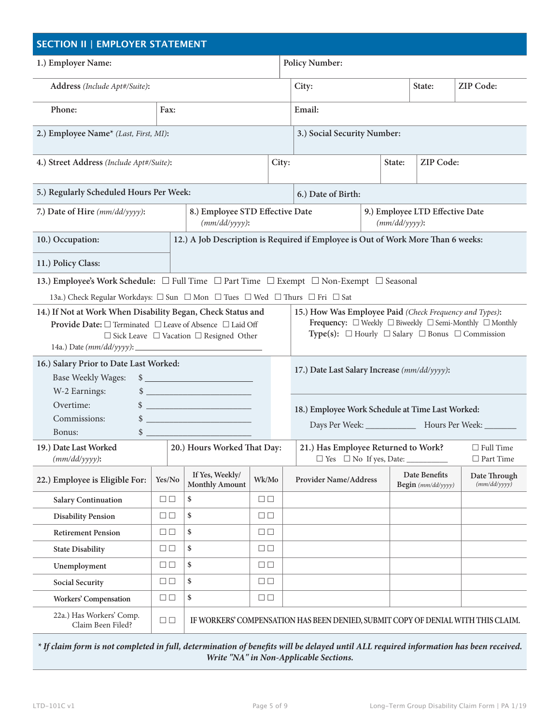| <b>SECTION II   EMPLOYER STATEMENT</b>                                                  |                                                                                                                                                                                                                                                                                                                                                                                                     |                                                                                                                                                                                                                                                                                                                                                |                        |                       |                                                                                  |                  |                                     |                                                       |
|-----------------------------------------------------------------------------------------|-----------------------------------------------------------------------------------------------------------------------------------------------------------------------------------------------------------------------------------------------------------------------------------------------------------------------------------------------------------------------------------------------------|------------------------------------------------------------------------------------------------------------------------------------------------------------------------------------------------------------------------------------------------------------------------------------------------------------------------------------------------|------------------------|-----------------------|----------------------------------------------------------------------------------|------------------|-------------------------------------|-------------------------------------------------------|
| 1.) Employer Name:                                                                      |                                                                                                                                                                                                                                                                                                                                                                                                     |                                                                                                                                                                                                                                                                                                                                                |                        | <b>Policy Number:</b> |                                                                                  |                  |                                     |                                                       |
| Address (Include Apt#/Suite):                                                           |                                                                                                                                                                                                                                                                                                                                                                                                     |                                                                                                                                                                                                                                                                                                                                                |                        |                       | City:                                                                            |                  | State:                              | <b>ZIP Code:</b>                                      |
| Phone:                                                                                  | Fax:                                                                                                                                                                                                                                                                                                                                                                                                |                                                                                                                                                                                                                                                                                                                                                |                        |                       | Email:                                                                           |                  |                                     |                                                       |
|                                                                                         | 2.) Employee Name* (Last, First, MI):                                                                                                                                                                                                                                                                                                                                                               |                                                                                                                                                                                                                                                                                                                                                |                        |                       | 3.) Social Security Number:                                                      |                  |                                     |                                                       |
| 4.) Street Address (Include Apt#/Suite):                                                |                                                                                                                                                                                                                                                                                                                                                                                                     |                                                                                                                                                                                                                                                                                                                                                |                        | City:                 |                                                                                  | State:           | ZIP Code:                           |                                                       |
| 5.) Regularly Scheduled Hours Per Week:                                                 |                                                                                                                                                                                                                                                                                                                                                                                                     |                                                                                                                                                                                                                                                                                                                                                |                        |                       | 6.) Date of Birth:                                                               |                  |                                     |                                                       |
| 7.) Date of Hire (mm/dd/yyyy):                                                          |                                                                                                                                                                                                                                                                                                                                                                                                     | 8.) Employee STD Effective Date<br>$(mm/dd/yyyy)$ :                                                                                                                                                                                                                                                                                            |                        |                       |                                                                                  | $(mm/dd/yyyy)$ : | 9.) Employee LTD Effective Date     |                                                       |
| 10.) Occupation:                                                                        |                                                                                                                                                                                                                                                                                                                                                                                                     |                                                                                                                                                                                                                                                                                                                                                |                        |                       | 12.) A Job Description is Required if Employee is Out of Work More Than 6 weeks: |                  |                                     |                                                       |
| 11.) Policy Class:                                                                      |                                                                                                                                                                                                                                                                                                                                                                                                     |                                                                                                                                                                                                                                                                                                                                                |                        |                       |                                                                                  |                  |                                     |                                                       |
| 13.) Employee's Work Schedule: □ Full Time □ Part Time □ Exempt □ Non-Exempt □ Seasonal |                                                                                                                                                                                                                                                                                                                                                                                                     |                                                                                                                                                                                                                                                                                                                                                |                        |                       |                                                                                  |                  |                                     |                                                       |
| 13a.) Check Regular Workdays: □ Sun □ Mon □ Tues □ Wed □ Thurs □ Fri □ Sat              |                                                                                                                                                                                                                                                                                                                                                                                                     |                                                                                                                                                                                                                                                                                                                                                |                        |                       |                                                                                  |                  |                                     |                                                       |
|                                                                                         | 14.) If Not at Work When Disability Began, Check Status and<br>15.) How Was Employee Paid (Check Frequency and Types):<br>Frequency: $\Box$ Weekly $\Box$ Biweekly $\Box$ Semi-Monthly $\Box$ Monthly<br>Provide Date: □ Terminated □ Leave of Absence □ Laid Off<br>Type(s): $\Box$ Hourly $\Box$ Salary $\Box$ Bonus $\Box$ Commission<br>$\Box$ Sick Leave $\Box$ Vacation $\Box$ Resigned Other |                                                                                                                                                                                                                                                                                                                                                |                        |                       |                                                                                  |                  |                                     |                                                       |
| 16.) Salary Prior to Date Last Worked:<br><b>Base Weekly Wages:</b><br>W-2 Earnings:    |                                                                                                                                                                                                                                                                                                                                                                                                     | $\frac{1}{2}$<br>$\frac{1}{2}$ $\frac{1}{2}$ $\frac{1}{2}$ $\frac{1}{2}$ $\frac{1}{2}$ $\frac{1}{2}$ $\frac{1}{2}$ $\frac{1}{2}$ $\frac{1}{2}$ $\frac{1}{2}$ $\frac{1}{2}$ $\frac{1}{2}$ $\frac{1}{2}$ $\frac{1}{2}$ $\frac{1}{2}$ $\frac{1}{2}$ $\frac{1}{2}$ $\frac{1}{2}$ $\frac{1}{2}$ $\frac{1}{2}$ $\frac{1}{2}$ $\frac{1}{2}$           |                        |                       | 17.) Date Last Salary Increase (mm/dd/yyyy):                                     |                  |                                     |                                                       |
| Overtime:<br>Commissions:<br>Bonus:                                                     |                                                                                                                                                                                                                                                                                                                                                                                                     | $\frac{1}{2}$<br>$\frac{1}{2}$ $\frac{1}{2}$ $\frac{1}{2}$ $\frac{1}{2}$ $\frac{1}{2}$ $\frac{1}{2}$ $\frac{1}{2}$ $\frac{1}{2}$ $\frac{1}{2}$ $\frac{1}{2}$ $\frac{1}{2}$ $\frac{1}{2}$ $\frac{1}{2}$ $\frac{1}{2}$ $\frac{1}{2}$ $\frac{1}{2}$ $\frac{1}{2}$ $\frac{1}{2}$ $\frac{1}{2}$ $\frac{1}{2}$ $\frac{1}{2}$ $\frac{1}{2}$<br>$\sim$ |                        |                       | 18.) Employee Work Schedule at Time Last Worked:                                 |                  |                                     | Days Per Week: _______________ Hours Per Week: ______ |
| 19.) Date Last Worked<br>$(mm/dd/yyyy)$ :                                               |                                                                                                                                                                                                                                                                                                                                                                                                     | 20.) Hours Worked That Day:                                                                                                                                                                                                                                                                                                                    |                        |                       | 21.) Has Employee Returned to Work?<br>$\Box$ Yes $\Box$ No If yes, Date:        |                  |                                     | $\Box$ Full Time<br>$\Box$ Part Time                  |
| 22.) Employee is Eligible For:                                                          | Yes/No                                                                                                                                                                                                                                                                                                                                                                                              | If Yes, Weekly/<br><b>Monthly Amount</b>                                                                                                                                                                                                                                                                                                       | Wk/Mo                  |                       | <b>Provider Name/Address</b>                                                     |                  | Date Benefits<br>Begin (mm/dd/yyyy) | Date Through<br>(mm/dd/yyyy)                          |
| <b>Salary Continuation</b>                                                              | $\Box$                                                                                                                                                                                                                                                                                                                                                                                              | \$                                                                                                                                                                                                                                                                                                                                             | $\Box$                 |                       |                                                                                  |                  |                                     |                                                       |
| <b>Disability Pension</b>                                                               | $\square \ \square$                                                                                                                                                                                                                                                                                                                                                                                 | \$                                                                                                                                                                                                                                                                                                                                             | $\Box$                 |                       |                                                                                  |                  |                                     |                                                       |
| <b>Retirement Pension</b>                                                               | $\Box$                                                                                                                                                                                                                                                                                                                                                                                              | \$                                                                                                                                                                                                                                                                                                                                             | $\Box$                 |                       |                                                                                  |                  |                                     |                                                       |
| <b>State Disability</b>                                                                 | $\square \ \square$                                                                                                                                                                                                                                                                                                                                                                                 | \$                                                                                                                                                                                                                                                                                                                                             | $\Box$                 |                       |                                                                                  |                  |                                     |                                                       |
| Unemployment                                                                            | $\Box$                                                                                                                                                                                                                                                                                                                                                                                              | \$                                                                                                                                                                                                                                                                                                                                             | $\square$<br>$\square$ |                       |                                                                                  |                  |                                     |                                                       |
| <b>Social Security</b>                                                                  | $\Box$                                                                                                                                                                                                                                                                                                                                                                                              | \$                                                                                                                                                                                                                                                                                                                                             | $\Box$                 |                       |                                                                                  |                  |                                     |                                                       |
| <b>Workers' Compensation</b>                                                            | $\Box$                                                                                                                                                                                                                                                                                                                                                                                              | \$                                                                                                                                                                                                                                                                                                                                             | $\Box$                 |                       |                                                                                  |                  |                                     |                                                       |
| 22a.) Has Workers' Comp.<br>Claim Been Filed?                                           | $\Box$                                                                                                                                                                                                                                                                                                                                                                                              |                                                                                                                                                                                                                                                                                                                                                |                        |                       | IF WORKERS' COMPENSATION HAS BEEN DENIED, SUBMIT COPY OF DENIAL WITH THIS CLAIM. |                  |                                     |                                                       |

*\* If claim form is not completed in full, determination of benefits will be delayed until ALL required information has been received. Write "NA" in Non-Applicable Sections.*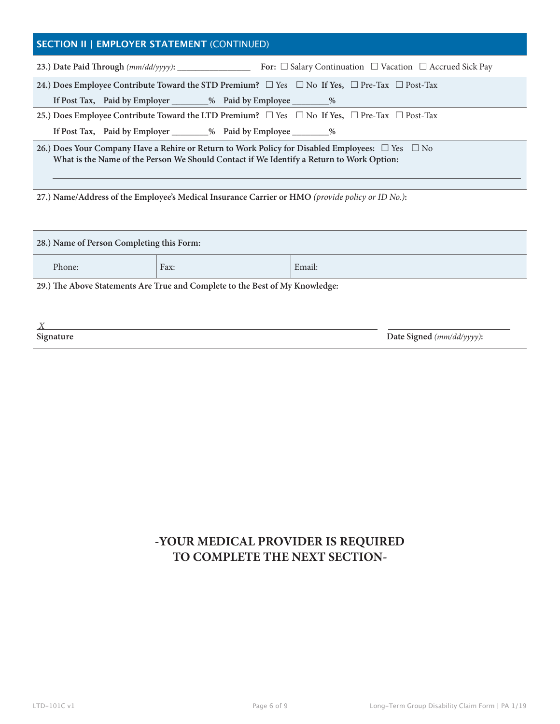## **SECTION II | EMPLOYER STATEMENT** (CONTINUED)

| For: $\Box$ Salary Continuation $\Box$ Vacation $\Box$ Accrued Sick Pay                                                                                                                                      |  |  |  |  |
|--------------------------------------------------------------------------------------------------------------------------------------------------------------------------------------------------------------|--|--|--|--|
| 24.) Does Employee Contribute Toward the STD Premium? $\square$ Yes $\square$ No If Yes, $\square$ Pre-Tax $\square$ Post-Tax                                                                                |  |  |  |  |
| If Post Tax, Paid by Employer ________% Paid by Employee _________%                                                                                                                                          |  |  |  |  |
| 25.) Does Employee Contribute Toward the LTD Premium? $\Box$ Yes $\Box$ No If Yes, $\Box$ Pre-Tax $\Box$ Post-Tax                                                                                            |  |  |  |  |
| If Post Tax, Paid by Employer _________% Paid by Employee ________%                                                                                                                                          |  |  |  |  |
| 26.) Does Your Company Have a Rehire or Return to Work Policy for Disabled Employees: $\square$ Yes $\square$ No<br>What is the Name of the Person We Should Contact if We Identify a Return to Work Option: |  |  |  |  |

**27.) Name/Address of the Employee's Medical Insurance Carrier or HMO** *(provide policy or ID No.)***:**

| 28.) Name of Person Completing this Form:                                    |  |  |  |  |  |  |
|------------------------------------------------------------------------------|--|--|--|--|--|--|
| Email:<br>Phone:<br>Fax:                                                     |  |  |  |  |  |  |
| 29.) The Above Statements Are True and Complete to the Best of My Knowledge: |  |  |  |  |  |  |
|                                                                              |  |  |  |  |  |  |

| $\mathbf{x}$<br>$\sqrt{1}$ |                           |
|----------------------------|---------------------------|
| Signature                  | Date Signed (mm/dd/yyyy): |

## **-YOUR MEDICAL PROVIDER IS REQUIRED TO COMPLETE THE NEXT SECTION-**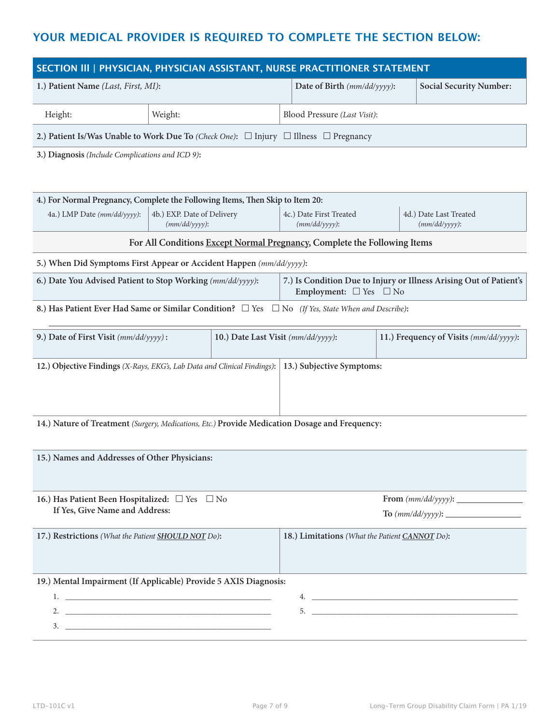## **YOUR MEDICAL PROVIDER IS REQUIRED TO COMPLETE THE SECTION BELOW:**

| SECTION III   PHYSICIAN, PHYSICIAN ASSISTANT, NURSE PRACTITIONER STATEMENT                                  |                                                |  |                                                                                                              |                              |                                            |  |
|-------------------------------------------------------------------------------------------------------------|------------------------------------------------|--|--------------------------------------------------------------------------------------------------------------|------------------------------|--------------------------------------------|--|
| 1.) Patient Name (Last, First, MI):                                                                         |                                                |  | Date of Birth (mm/dd/yyyy):                                                                                  |                              | <b>Social Security Number:</b>             |  |
| Height:                                                                                                     | Weight:                                        |  |                                                                                                              | Blood Pressure (Last Visit): |                                            |  |
| 2.) Patient Is/Was Unable to Work Due To (Check One): $\Box$ Injury $\Box$ Illness $\Box$ Pregnancy         |                                                |  |                                                                                                              |                              |                                            |  |
| 3.) Diagnosis (Include Complications and ICD 9):                                                            |                                                |  |                                                                                                              |                              |                                            |  |
| 4.) For Normal Pregnancy, Complete the Following Items, Then Skip to Item 20:                               |                                                |  |                                                                                                              |                              |                                            |  |
| 4a.) LMP Date (mm/dd/yyyy):                                                                                 | 4b.) EXP. Date of Delivery<br>$(mm/dd/yyyy)$ : |  | 4c.) Date First Treated<br>$(mm/dd/yyyy)$ :                                                                  |                              | 4d.) Date Last Treated<br>$(mm/dd/yyyy)$ : |  |
|                                                                                                             |                                                |  | For All Conditions Except Normal Pregnancy, Complete the Following Items                                     |                              |                                            |  |
| 5.) When Did Symptoms First Appear or Accident Happen (mm/dd/yyyy):                                         |                                                |  |                                                                                                              |                              |                                            |  |
| 6.) Date You Advised Patient to Stop Working (mm/dd/yyyy):                                                  |                                                |  | 7.) Is Condition Due to Injury or Illness Arising Out of Patient's<br>Employment: $\square$ Yes $\square$ No |                              |                                            |  |
| 8.) Has Patient Ever Had Same or Similar Condition? $\Box$ Yes $\Box$ No (If Yes, State When and Describe): |                                                |  |                                                                                                              |                              |                                            |  |
| 9.) Date of First Visit (mm/dd/yyyy):                                                                       |                                                |  | 10.) Date Last Visit (mm/dd/yyyy):                                                                           |                              | 11.) Frequency of Visits (mm/dd/yyyy):     |  |
| 13.) Subjective Symptoms:<br>12.) Objective Findings (X-Rays, EKG's, Lab Data and Clinical Findings):       |                                                |  |                                                                                                              |                              |                                            |  |
| 14.) Nature of Treatment (Surgery, Medications, Etc.) Provide Medication Dosage and Frequency:              |                                                |  |                                                                                                              |                              |                                            |  |
| 15.) Names and Addresses of Other Physicians:                                                               |                                                |  |                                                                                                              |                              |                                            |  |
| 16.) Has Patient Been Hospitalized: $\square$ Yes $\square$ No                                              |                                                |  |                                                                                                              |                              |                                            |  |
| If Yes, Give Name and Address:                                                                              |                                                |  |                                                                                                              |                              |                                            |  |
| 17.) Restrictions (What the Patient SHOULD NOT Do):                                                         |                                                |  | 18.) Limitations (What the Patient CANNOT Do):                                                               |                              |                                            |  |
| 19.) Mental Impairment (If Applicable) Provide 5 AXIS Diagnosis:                                            |                                                |  |                                                                                                              |                              |                                            |  |
|                                                                                                             |                                                |  |                                                                                                              |                              |                                            |  |
| $3.$ $\overline{\phantom{a}}$                                                                               |                                                |  |                                                                                                              |                              |                                            |  |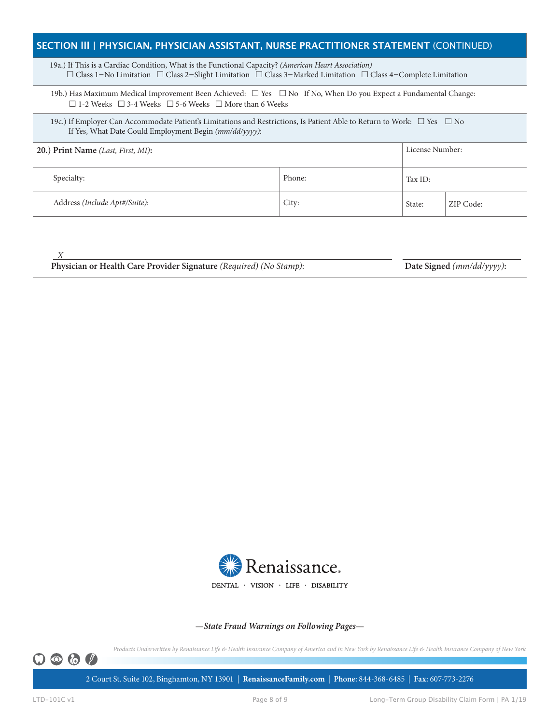### **SECTION lll | PHYSICIAN, PHYSICIAN ASSISTANT, NURSE PRACTITIONER STATEMENT** (CONTINUED)

 19a.) If This is a Cardiac Condition, What is the Functional Capacity? *(American Heart Association)* £ Class 1−No Limitation £ Class 2−Slight Limitation £ Class 3−Marked Limitation £ Class 4−Complete Limitation

19b.) Has Maximum Medical Improvement Been Achieved:  $\Box$  Yes  $\Box$  No If No, When Do you Expect a Fundamental Change:  $\Box$  1-2 Weeks  $\Box$  3-4 Weeks  $\Box$  5-6 Weeks  $\Box$  More than 6 Weeks

19c.) If Employer Can Accommodate Patient's Limitations and Restrictions, Is Patient Able to Return to Work:  $\Box$  Yes  $\Box$  No If Yes, What Date Could Employment Begin *(mm/dd/yyyy)*:

| 20.) Print Name (Last, First, MI): |        | License Number: |           |
|------------------------------------|--------|-----------------|-----------|
| Specialty:                         | Phone: | Tax ID:         |           |
| Address (Include Apt#/Suite):      | City:  | State:          | ZIP Code: |

 *X* 

Physician or Health Care Provider Signature *(Required) (No Stamp)*: Date Signed *(mm/dd/yyyy)*:



—*State Fraud Warnings on Following Pages*—

*Products Underwritten by Renaissance Life & Health Insurance Company of America and in New York by Renaissance Life & Health Insurance Company of New York*



2 Court St. Suite 102, Binghamton, NY 13901 | **RenaissanceFamily.com** | **Phone:** 844-368-6485| **Fax:** 607-773-2276